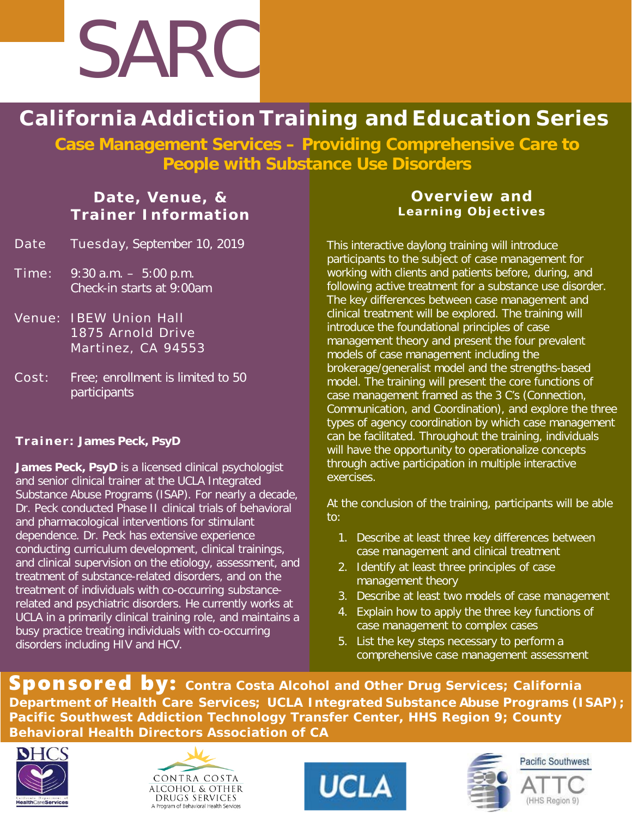

# **California Addiction Training and Education Series**

**Case Management Services – Providing Comprehensive Care to People with Substance Use Disorders**

### **Date, Venue, & Trainer Information**

- Date Tuesday, September 10, 2019
- Time: 9:30 a.m. 5:00 p.m. Check-in starts at 9:00am
- Venue: IBEW Union Hall 1875 Arnold Drive Martinez, CA 94553
- Cost: Free; enrollment is limited to 50 participants

#### **Trainer: James Peck, PsyD**

James Peck, PsyD is a licensed clinical psychologist and senior clinical trainer at the UCLA Integrated Substance Abuse Programs (ISAP). For nearly a decade, Dr. Peck conducted Phase II clinical trials of behavioral and pharmacological interventions for stimulant dependence. Dr. Peck has extensive experience conducting curriculum development, clinical trainings, and clinical supervision on the etiology, assessment, and treatment of substance-related disorders, and on the treatment of individuals with co-occurring substancerelated and psychiatric disorders. He currently works at UCLA in a primarily clinical training role, and maintains a busy practice treating individuals with co-occurring disorders including HIV and HCV.

#### **Overview and Learning Objectives**

This interactive daylong training will introduce participants to the subject of case management for working with clients and patients before, during, and following active treatment for a substance use disorder. The key differences between case management and clinical treatment will be explored. The training will introduce the foundational principles of case management theory and present the four prevalent models of case management including the brokerage/generalist model and the strengths-based model. The training will present the core functions of case management framed as the 3 C's (Connection, Communication, and Coordination), and explore the three types of agency coordination by which case management can be facilitated. Throughout the training, individuals will have the opportunity to operationalize concepts through active participation in multiple interactive exercises.

At the conclusion of the training, participants will be able to:

- 1. Describe at least three key differences between case management and clinical treatment
- 2. Identify at least three principles of case management theory
- 3. Describe at least two models of case management
- 4. Explain how to apply the three key functions of case management to complex cases
- 5. List the key steps necessary to perform a comprehensive case management assessment

Sponsored by: **Contra Costa Alcohol and Other Drug Services; California Department of Health Care Services; UCLA Integrated Substance Abuse Programs (ISAP) ; Pacific Southwest Addiction Technology Transfer Center, HHS Region 9; County Behavioral Health Directors Association of CA** 







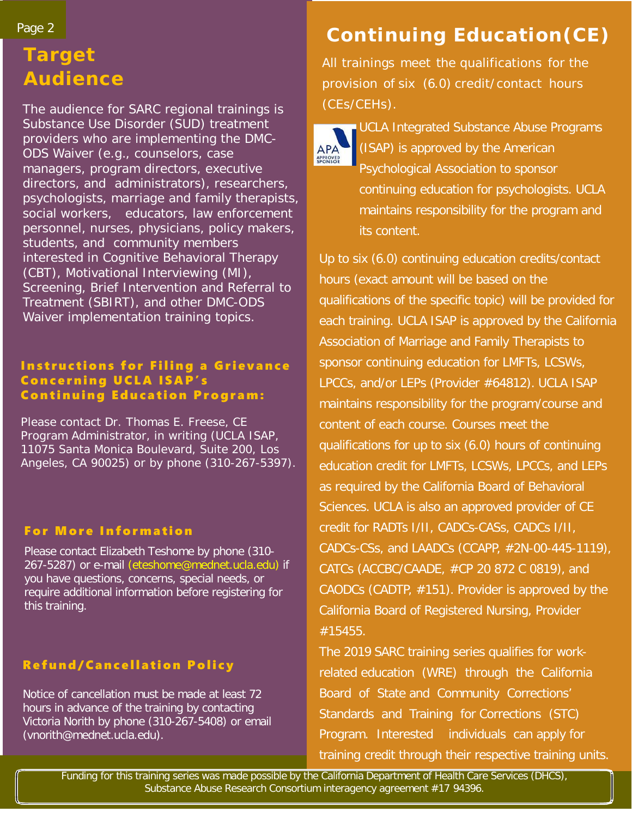#### Page 2

## **Target Audience**

The audience for SARC regional trainings is Substance Use Disorder (SUD) treatment providers who are implementing the DMC-ODS Waiver (e.g., counselors, case managers, program directors, executive directors, and administrators), researchers, psychologists, marriage and family therapists, social workers, educators, law enforcement personnel, nurses, physicians, policy makers, students, and community members interested in Cognitive Behavioral Therapy (CBT), Motivational Interviewing (MI), Screening, Brief Intervention and Referral to Treatment (SBIRT), and other DMC-ODS Waiver implementation training topics.

#### Instructions for Filing a Grievance Concerning UCLA ISAP's Continuing Education Program:

Please contact Dr. Thomas E. Freese, CE Program Administrator, in writing (UCLA ISAP, 11075 Santa Monica Boulevard, Suite 200, Los Angeles, CA 90025) or by phone (310-267-5397).

#### For More Information

Please contact Elizabeth Teshome by phone (310- 267-5287) or e-mail (eteshome@mednet.ucla.edu) if you have questions, concerns, special needs, or require additional information before registering for this training.

### Refund/Cancellation Policy

Notice of cancellation must be made at least 72 hours in advance of the training by contacting Victoria Norith by phone (310-267-5408) or email (vnorith@mednet.ucla.edu).

# **Continuing Education(CE)**

All trainings meet the qualifications for the provision of six (6.0) credit/contact hours (CEs/CEHs).



UCLA Integrated Substance Abuse Programs (ISAP) is approved by the American Psychological Association to sponsor continuing education for psychologists. UCLA maintains responsibility for the program and its content.

Up to six (6.0) continuing education credits/contact hours (exact amount will be based on the qualifications of the specific topic) will be provided for each training. UCLA ISAP is approved by the California Association of Marriage and Family Therapists to sponsor continuing education for LMFTs, LCSWs, LPCCs, and/or LEPs (Provider #64812). UCLA ISAP maintains responsibility for the program/course and content of each course. Courses meet the qualifications for up to six (6.0) hours of continuing education credit for LMFTs, LCSWs, LPCCs, and LEPs as required by the California Board of Behavioral Sciences. UCLA is also an approved provider of CE credit for RADTs I/II, CADCs-CASs, CADCs I/II, CADCs-CSs, and LAADCs (CCAPP, #2N-00-445-1119), CATCs (ACCBC/CAADE, #CP 20 872 C 0819), and CAODCs (CADTP, #151). Provider is approved by the California Board of Registered Nursing, Provider #15455.

The 2019 SARC training series qualifies for workrelated education (WRE) through the California Board of State and Community Corrections' Standards and Training for Corrections (STC) Program. Interested individuals can apply for training credit through their respective training units.

Funding for this training series was made possible by the California Department of Health Care Services (DHCS), Substance Abuse Research Consortium interagency agreement #17 94396.